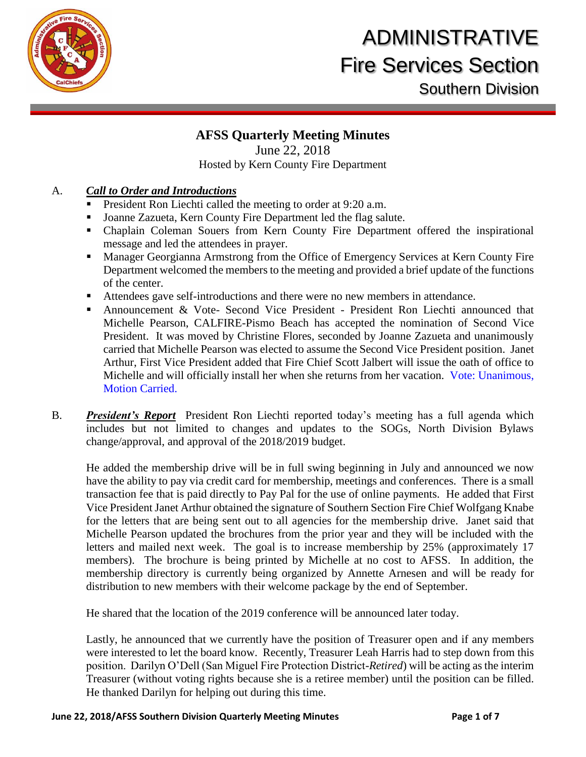

### **AFSS Quarterly Meeting Minutes**

### June 22, 2018 Hosted by Kern County Fire Department

### A. *Call to Order and Introductions*

- President Ron Liechti called the meeting to order at 9:20 a.m.
- Joanne Zazueta, Kern County Fire Department led the flag salute.
- Chaplain Coleman Souers from Kern County Fire Department offered the inspirational message and led the attendees in prayer.
- Manager Georgianna Armstrong from the Office of Emergency Services at Kern County Fire Department welcomed the members to the meeting and provided a brief update of the functions of the center.
- Attendees gave self-introductions and there were no new members in attendance.
- Announcement & Vote- Second Vice President President Ron Liechti announced that Michelle Pearson, CALFIRE-Pismo Beach has accepted the nomination of Second Vice President. It was moved by Christine Flores, seconded by Joanne Zazueta and unanimously carried that Michelle Pearson was elected to assume the Second Vice President position. Janet Arthur, First Vice President added that Fire Chief Scott Jalbert will issue the oath of office to Michelle and will officially install her when she returns from her vacation. Vote: Unanimous, Motion Carried.
- B. *President's Report* President Ron Liechti reported today's meeting has a full agenda which includes but not limited to changes and updates to the SOGs, North Division Bylaws change/approval, and approval of the 2018/2019 budget.

He added the membership drive will be in full swing beginning in July and announced we now have the ability to pay via credit card for membership, meetings and conferences. There is a small transaction fee that is paid directly to Pay Pal for the use of online payments. He added that First Vice President Janet Arthur obtained the signature of Southern Section Fire Chief Wolfgang Knabe for the letters that are being sent out to all agencies for the membership drive. Janet said that Michelle Pearson updated the brochures from the prior year and they will be included with the letters and mailed next week. The goal is to increase membership by 25% (approximately 17 members). The brochure is being printed by Michelle at no cost to AFSS. In addition, the membership directory is currently being organized by Annette Arnesen and will be ready for distribution to new members with their welcome package by the end of September.

He shared that the location of the 2019 conference will be announced later today.

Lastly, he announced that we currently have the position of Treasurer open and if any members were interested to let the board know. Recently, Treasurer Leah Harris had to step down from this position. Darilyn O'Dell (San Miguel Fire Protection District-*Retired*) will be acting as the interim Treasurer (without voting rights because she is a retiree member) until the position can be filled. He thanked Darilyn for helping out during this time.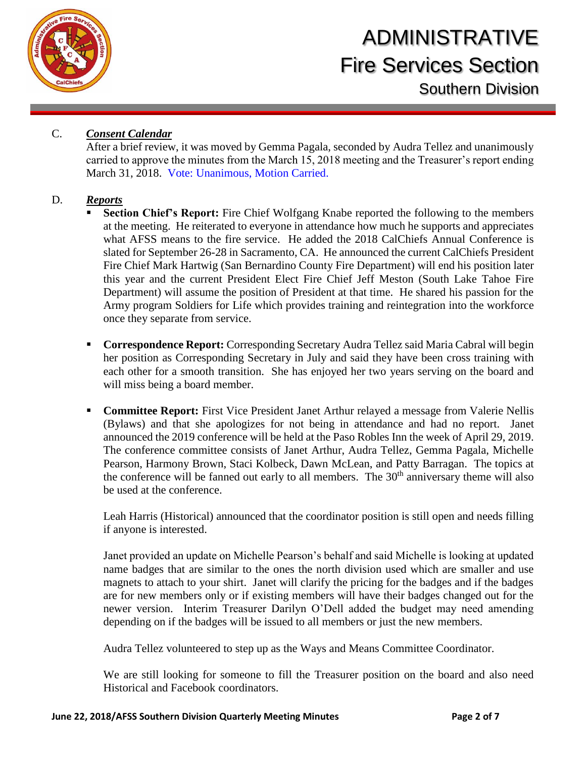

### C. *Consent Calendar*

After a brief review, it was moved by Gemma Pagala, seconded by Audra Tellez and unanimously carried to approve the minutes from the March 15, 2018 meeting and the Treasurer's report ending March 31, 2018. Vote: Unanimous, Motion Carried.

#### D. *Reports*

- **Section Chief's Report:** Fire Chief Wolfgang Knabe reported the following to the members at the meeting. He reiterated to everyone in attendance how much he supports and appreciates what AFSS means to the fire service. He added the 2018 CalChiefs Annual Conference is slated for September 26-28 in Sacramento, CA. He announced the current CalChiefs President Fire Chief Mark Hartwig (San Bernardino County Fire Department) will end his position later this year and the current President Elect Fire Chief Jeff Meston (South Lake Tahoe Fire Department) will assume the position of President at that time. He shared his passion for the Army program Soldiers for Life which provides training and reintegration into the workforce once they separate from service.
- **Correspondence Report:** Corresponding Secretary Audra Tellez said Maria Cabral will begin her position as Corresponding Secretary in July and said they have been cross training with each other for a smooth transition. She has enjoyed her two years serving on the board and will miss being a board member.
- **Committee Report:** First Vice President Janet Arthur relayed a message from Valerie Nellis (Bylaws) and that she apologizes for not being in attendance and had no report. Janet announced the 2019 conference will be held at the Paso Robles Inn the week of April 29, 2019. The conference committee consists of Janet Arthur, Audra Tellez, Gemma Pagala, Michelle Pearson, Harmony Brown, Staci Kolbeck, Dawn McLean, and Patty Barragan. The topics at the conference will be fanned out early to all members. The  $30<sup>th</sup>$  anniversary theme will also be used at the conference.

Leah Harris (Historical) announced that the coordinator position is still open and needs filling if anyone is interested.

Janet provided an update on Michelle Pearson's behalf and said Michelle is looking at updated name badges that are similar to the ones the north division used which are smaller and use magnets to attach to your shirt. Janet will clarify the pricing for the badges and if the badges are for new members only or if existing members will have their badges changed out for the newer version. Interim Treasurer Darilyn O'Dell added the budget may need amending depending on if the badges will be issued to all members or just the new members.

Audra Tellez volunteered to step up as the Ways and Means Committee Coordinator.

We are still looking for someone to fill the Treasurer position on the board and also need Historical and Facebook coordinators.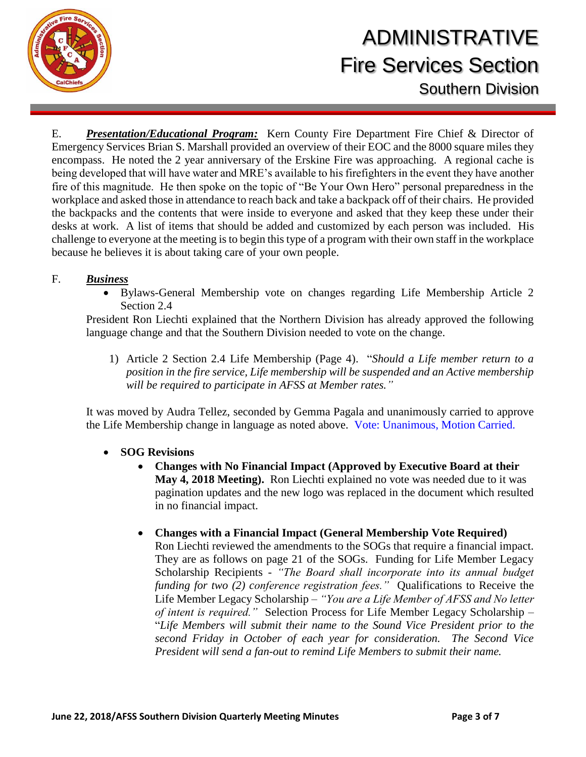

E. *Presentation/Educational Program:* Kern County Fire Department Fire Chief & Director of Emergency Services Brian S. Marshall provided an overview of their EOC and the 8000 square miles they encompass. He noted the 2 year anniversary of the Erskine Fire was approaching. A regional cache is being developed that will have water and MRE's available to his firefighters in the event they have another fire of this magnitude. He then spoke on the topic of "Be Your Own Hero" personal preparedness in the workplace and asked those in attendance to reach back and take a backpack off of their chairs. He provided the backpacks and the contents that were inside to everyone and asked that they keep these under their desks at work. A list of items that should be added and customized by each person was included. His challenge to everyone at the meeting is to begin this type of a program with their own staff in the workplace because he believes it is about taking care of your own people.

### F. *Business*

 Bylaws-General Membership vote on changes regarding Life Membership Article 2 Section 2.4

President Ron Liechti explained that the Northern Division has already approved the following language change and that the Southern Division needed to vote on the change.

1) Article 2 Section 2.4 Life Membership (Page 4). "*Should a Life member return to a position in the fire service, Life membership will be suspended and an Active membership will be required to participate in AFSS at Member rates."*

It was moved by Audra Tellez, seconded by Gemma Pagala and unanimously carried to approve the Life Membership change in language as noted above. Vote: Unanimous, Motion Carried.

### **SOG Revisions**

 **Changes with No Financial Impact (Approved by Executive Board at their May 4, 2018 Meeting).** Ron Liechti explained no vote was needed due to it was pagination updates and the new logo was replaced in the document which resulted in no financial impact.

#### **Changes with a Financial Impact (General Membership Vote Required)**

Ron Liechti reviewed the amendments to the SOGs that require a financial impact. They are as follows on page 21 of the SOGs. Funding for Life Member Legacy Scholarship Recipients - *"The Board shall incorporate into its annual budget funding for two (2) conference registration fees."* Qualifications to Receive the Life Member Legacy Scholarship – *"You are a Life Member of AFSS and No letter of intent is required."* Selection Process for Life Member Legacy Scholarship – "*Life Members will submit their name to the Sound Vice President prior to the second Friday in October of each year for consideration. The Second Vice President will send a fan-out to remind Life Members to submit their name.*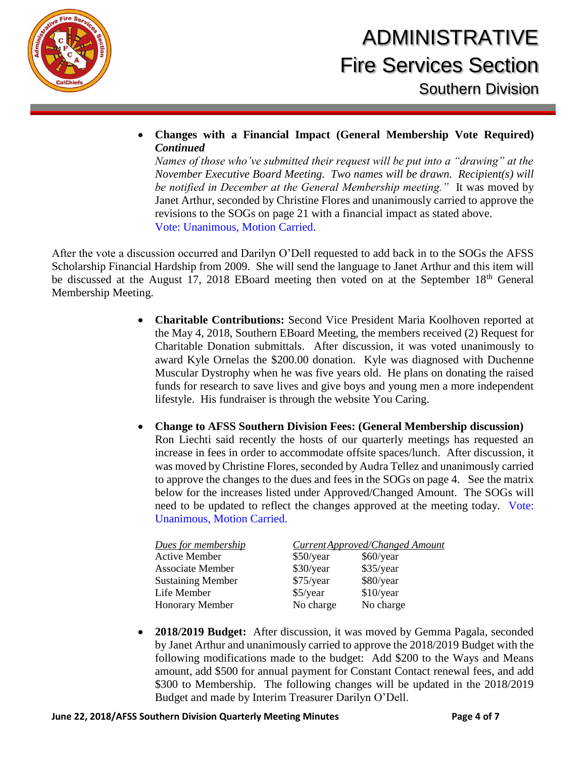

 **Changes with a Financial Impact (General Membership Vote Required)**  *Continued*

*Names of those who've submitted their request will be put into a "drawing" at the November Executive Board Meeting. Two names will be drawn. Recipient(s) will be notified in December at the General Membership meeting."* It was moved by Janet Arthur, seconded by Christine Flores and unanimously carried to approve the revisions to the SOGs on page 21 with a financial impact as stated above. Vote: Unanimous, Motion Carried.

After the vote a discussion occurred and Darilyn O'Dell requested to add back in to the SOGs the AFSS Scholarship Financial Hardship from 2009. She will send the language to Janet Arthur and this item will be discussed at the August 17, 2018 EBoard meeting then voted on at the September 18<sup>th</sup> General Membership Meeting.

- **Charitable Contributions:** Second Vice President Maria Koolhoven reported at the May 4, 2018, Southern EBoard Meeting, the members received (2) Request for Charitable Donation submittals. After discussion, it was voted unanimously to award Kyle Ornelas the \$200.00 donation. Kyle was diagnosed with Duchenne Muscular Dystrophy when he was five years old. He plans on donating the raised funds for research to save lives and give boys and young men a more independent lifestyle. His fundraiser is through the website You Caring.
- **Change to AFSS Southern Division Fees: (General Membership discussion)** Ron Liechti said recently the hosts of our quarterly meetings has requested an increase in fees in order to accommodate offsite spaces/lunch. After discussion, it was moved by Christine Flores, seconded by Audra Tellez and unanimously carried to approve the changes to the dues and fees in the SOGs on page 4. See the matrix below for the increases listed under Approved/Changed Amount. The SOGs will need to be updated to reflect the changes approved at the meeting today. Vote: Unanimous, Motion Carried.

| Dues for membership      | Current Approved/Changed Amount |             |
|--------------------------|---------------------------------|-------------|
| <b>Active Member</b>     | \$50/year                       | \$60/year   |
| <b>Associate Member</b>  | \$30/year                       | \$35/year   |
| <b>Sustaining Member</b> | \$75/year                       | \$80/year   |
| Life Member              | $$5$ /year                      | $$10$ /year |
| Honorary Member          | No charge                       | No charge   |

 **2018/2019 Budget:** After discussion, it was moved by Gemma Pagala, seconded by Janet Arthur and unanimously carried to approve the 2018/2019 Budget with the following modifications made to the budget: Add \$200 to the Ways and Means amount, add \$500 for annual payment for Constant Contact renewal fees, and add \$300 to Membership. The following changes will be updated in the 2018/2019 Budget and made by Interim Treasurer Darilyn O'Dell.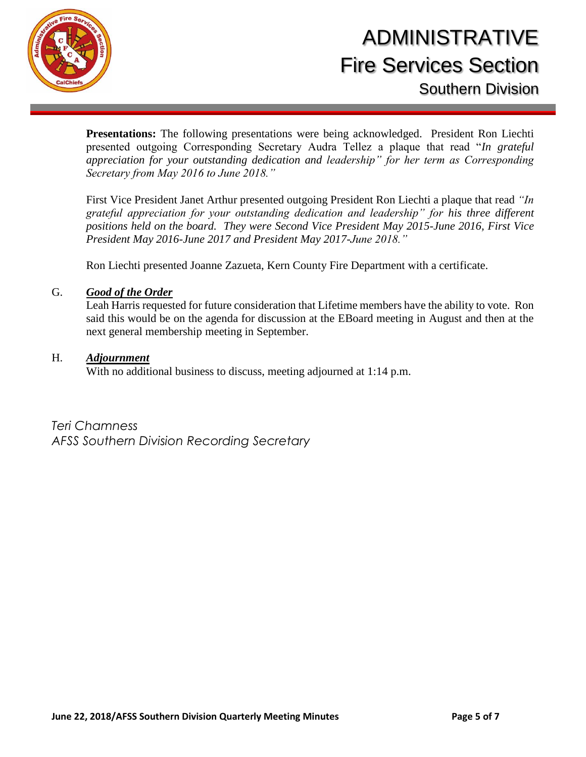

**Presentations:** The following presentations were being acknowledged. President Ron Liechti presented outgoing Corresponding Secretary Audra Tellez a plaque that read "*In grateful appreciation for your outstanding dedication and leadership" for her term as Corresponding Secretary from May 2016 to June 2018."*

First Vice President Janet Arthur presented outgoing President Ron Liechti a plaque that read *"In grateful appreciation for your outstanding dedication and leadership" for his three different positions held on the board. They were Second Vice President May 2015-June 2016, First Vice President May 2016-June 2017 and President May 2017-June 2018."*

Ron Liechti presented Joanne Zazueta, Kern County Fire Department with a certificate.

#### G. *Good of the Order*

Leah Harris requested for future consideration that Lifetime members have the ability to vote. Ron said this would be on the agenda for discussion at the EBoard meeting in August and then at the next general membership meeting in September.

#### H. *Adjournment*

With no additional business to discuss, meeting adjourned at 1:14 p.m.

*Teri Chamness AFSS Southern Division Recording Secretary*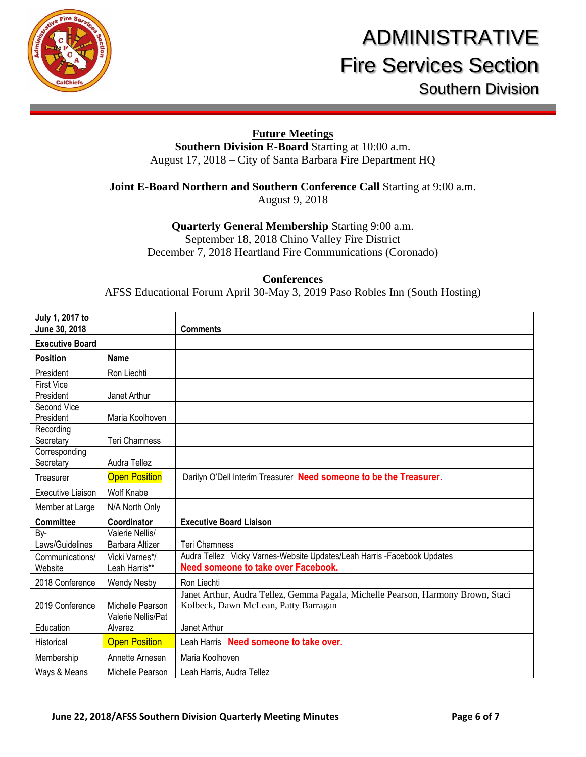

### **Future Meetings**

**Southern Division E-Board** Starting at 10:00 a.m. August 17, 2018 – City of Santa Barbara Fire Department HQ

### **Joint E-Board Northern and Southern Conference Call** Starting at 9:00 a.m.

August 9, 2018

### **Quarterly General Membership** Starting 9:00 a.m.

September 18, 2018 Chino Valley Fire District December 7, 2018 Heartland Fire Communications (Coronado)

#### **Conferences**

AFSS Educational Forum April 30-May 3, 2019 Paso Robles Inn (South Hosting)

| July 1, 2017 to<br>June 30, 2018 |                        | <b>Comments</b>                                                                  |
|----------------------------------|------------------------|----------------------------------------------------------------------------------|
| <b>Executive Board</b>           |                        |                                                                                  |
| <b>Position</b>                  | <b>Name</b>            |                                                                                  |
|                                  |                        |                                                                                  |
| President                        | Ron Liechti            |                                                                                  |
| <b>First Vice</b><br>President   | Janet Arthur           |                                                                                  |
| Second Vice                      |                        |                                                                                  |
| President                        | Maria Koolhoven        |                                                                                  |
| Recording                        |                        |                                                                                  |
| Secretary                        | <b>Teri Chamness</b>   |                                                                                  |
| Corresponding                    |                        |                                                                                  |
| Secretary                        | Audra Tellez           |                                                                                  |
| Treasurer                        | <b>Open Position</b>   | Darilyn O'Dell Interim Treasurer Need someone to be the Treasurer.               |
| <b>Executive Liaison</b>         | <b>Wolf Knabe</b>      |                                                                                  |
| Member at Large                  | N/A North Only         |                                                                                  |
| <b>Committee</b>                 | Coordinator            | <b>Executive Board Liaison</b>                                                   |
| By-                              | Valerie Nellis/        |                                                                                  |
| Laws/Guidelines                  | <b>Barbara Altizer</b> | <b>Teri Chamness</b>                                                             |
| Communications/                  | Vicki Varnes*/         | Audra Tellez Vicky Varnes-Website Updates/Leah Harris -Facebook Updates          |
| Website                          | Leah Harris**          | <b>Need someone to take over Facebook.</b>                                       |
| 2018 Conference                  | <b>Wendy Nesby</b>     | Ron Liechti                                                                      |
|                                  |                        | Janet Arthur, Audra Tellez, Gemma Pagala, Michelle Pearson, Harmony Brown, Staci |
| 2019 Conference                  | Michelle Pearson       | Kolbeck, Dawn McLean, Patty Barragan                                             |
|                                  | Valerie Nellis/Pat     |                                                                                  |
| Education                        | Alvarez                | Janet Arthur                                                                     |
| Historical                       | <b>Open Position</b>   | Leah Harris Need someone to take over.                                           |
| Membership                       | Annette Arnesen        | Maria Koolhoven                                                                  |
| Ways & Means                     | Michelle Pearson       | Leah Harris, Audra Tellez                                                        |